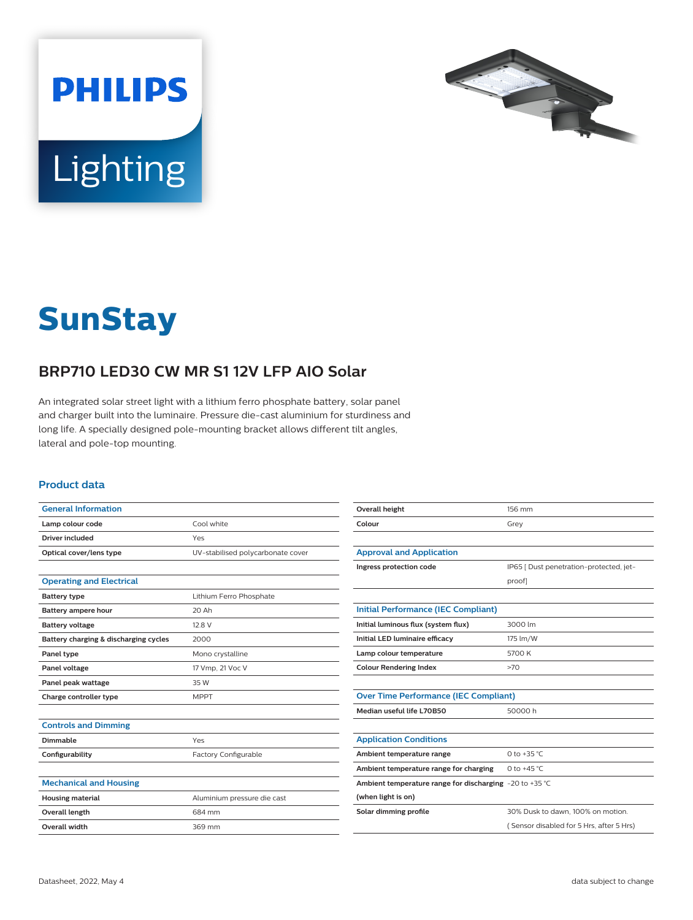



# **SunStay**

## **BRP710 LED30 CW MR S1 12V LFP AIO Solar**

An integrated solar street light with a lithium ferro phosphate battery, solar panel and charger built into the luminaire. Pressure die-cast aluminium for sturdiness and long life. A specially designed pole-mounting bracket allows different tilt angles, lateral and pole-top mounting.

#### **Product data**

| <b>General Information</b>            |                                   | Overall height                                          | 156 mm                                   |
|---------------------------------------|-----------------------------------|---------------------------------------------------------|------------------------------------------|
| Lamp colour code                      | Cool white                        | Colour                                                  | Grey                                     |
| Driver included                       | Yes                               |                                                         |                                          |
| Optical cover/lens type               | UV-stabilised polycarbonate cover | <b>Approval and Application</b>                         |                                          |
|                                       |                                   | Ingress protection code                                 | IP65 [ Dust penetration-protected, jet-  |
| <b>Operating and Electrical</b>       |                                   |                                                         | proof]                                   |
| <b>Battery type</b>                   | Lithium Ferro Phosphate           |                                                         |                                          |
| Battery ampere hour                   | 20 Ah                             | <b>Initial Performance (IEC Compliant)</b>              |                                          |
| <b>Battery voltage</b>                | 12.8 V                            | Initial luminous flux (system flux)                     | 3000 lm                                  |
| Battery charging & discharging cycles | 2000                              | Initial LED luminaire efficacy                          | 175 lm/W                                 |
| Panel type                            | Mono crystalline                  | Lamp colour temperature                                 | 5700 K                                   |
| Panel voltage                         | 17 Vmp, 21 Voc V                  | <b>Colour Rendering Index</b>                           | >70                                      |
| Panel peak wattage                    | 35 W                              |                                                         |                                          |
| Charge controller type                | <b>MPPT</b>                       | <b>Over Time Performance (IEC Compliant)</b>            |                                          |
|                                       |                                   | Median useful life L70B50                               | 50000 h                                  |
| <b>Controls and Dimming</b>           |                                   |                                                         |                                          |
| <b>Dimmable</b>                       | Yes                               | <b>Application Conditions</b>                           |                                          |
| Configurability                       | Factory Configurable              | Ambient temperature range                               | 0 to +35 $^{\circ}$ C                    |
|                                       |                                   | Ambient temperature range for charging                  | 0 to $+45$ °C                            |
| <b>Mechanical and Housing</b>         |                                   | Ambient temperature range for discharging -20 to +35 °C |                                          |
| <b>Housing material</b>               | Aluminium pressure die cast       | (when light is on)                                      |                                          |
| <b>Overall length</b>                 | 684 mm                            | Solar dimming profile                                   | 30% Dusk to dawn, 100% on motion.        |
| Overall width                         | 369 mm                            |                                                         | (Sensor disabled for 5 Hrs, after 5 Hrs) |
|                                       |                                   |                                                         |                                          |